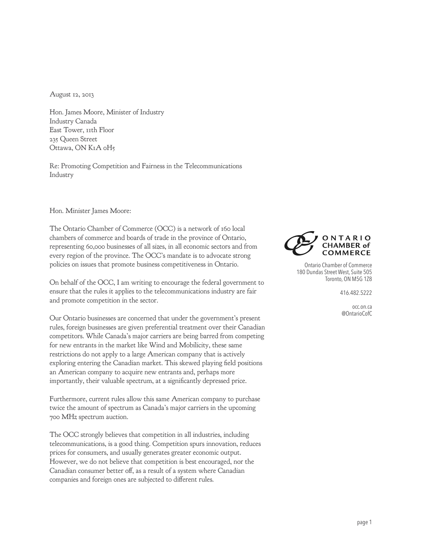August 12, 2013

Hon. James Moore, Minister of Industry Industry Canada East Tower, 11th Floor 235 Queen Street Ottawa, ON K1A 0H5

Re: Promoting Competition and Fairness in the Telecommunications Industry

## Hon. Minister James Moore:

The Ontario Chamber of Commerce (OCC) is a network of 160 local chambers of commerce and boards of trade in the province of Ontario, representing 60,000 businesses of all sizes, in all economic sectors and from every region of the province. The OCC's mandate is to advocate strong policies on issues that promote business competitiveness in Ontario.

On behalf of the OCC, I am writing to encourage the federal government to ensure that the rules it applies to the telecommunications industry are fair and promote competition in the sector.

Our Ontario businesses are concerned that under the government's present rules, foreign businesses are given preferential treatment over their Canadian competitors. While Canada's major carriers are being barred from competing for new entrants in the market like Wind and Mobilicity, these same restrictions do not apply to a large American company that is actively exploring entering the Canadian market. This skewed playing field positions an American company to acquire new entrants and, perhaps more importantly, their valuable spectrum, at a significantly depressed price.

Furthermore, current rules allow this same American company to purchase twice the amount of spectrum as Canada's major carriers in the upcoming 700 MHz spectrum auction.

The OCC strongly believes that competition in all industries, including telecommunications, is a good thing. Competition spurs innovation, reduces prices for consumers, and usually generates greater economic output. However, we do not believe that competition is best encouraged, nor the Canadian consumer better off, as a result of a system where Canadian companies and foreign ones are subjected to different rules.



Ontario Chamber of Commerce 180 Dundas Street West, Suite 505 Toronto, ON M5G 1Z8

416.482.5222

occ.on.ca @OntarioCofC